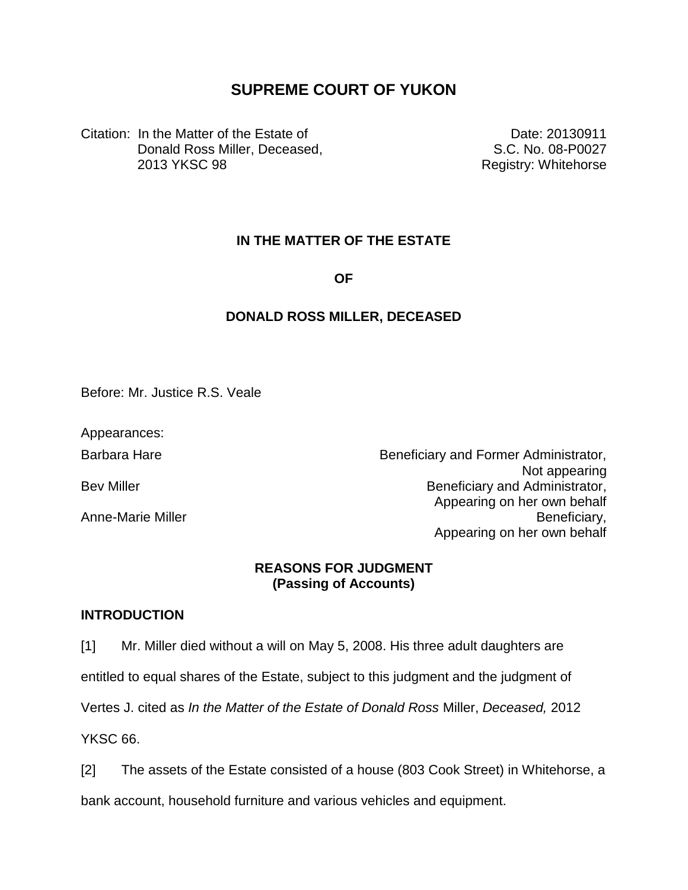# **SUPREME COURT OF YUKON**

Citation: In the Matter of the Estate of Donald Ross Miller, Deceased, 2013 YKSC 98

Date: 20130911 S.C. No. 08-P0027 Registry: Whitehorse

# **IN THE MATTER OF THE ESTATE**

**OF**

# **DONALD ROSS MILLER, DECEASED**

Before: Mr. Justice R.S. Veale

Appearances:

Barbara Hare **Barbara Hare Beneficiary and Former Administrator**, Not appearing Bev Miller **Beneficiary** and Administrator, Appearing on her own behalf Anne-Marie Miller **Beneficiary**, Appearing on her own behalf

## **REASONS FOR JUDGMENT (Passing of Accounts)**

## **INTRODUCTION**

[1] Mr. Miller died without a will on May 5, 2008. His three adult daughters are

entitled to equal shares of the Estate, subject to this judgment and the judgment of

Vertes J. cited as *In the Matter of the Estate of Donald Ross* Miller, *Deceased,* 2012

YKSC<sub>66</sub>

[2] The assets of the Estate consisted of a house (803 Cook Street) in Whitehorse, a

bank account, household furniture and various vehicles and equipment.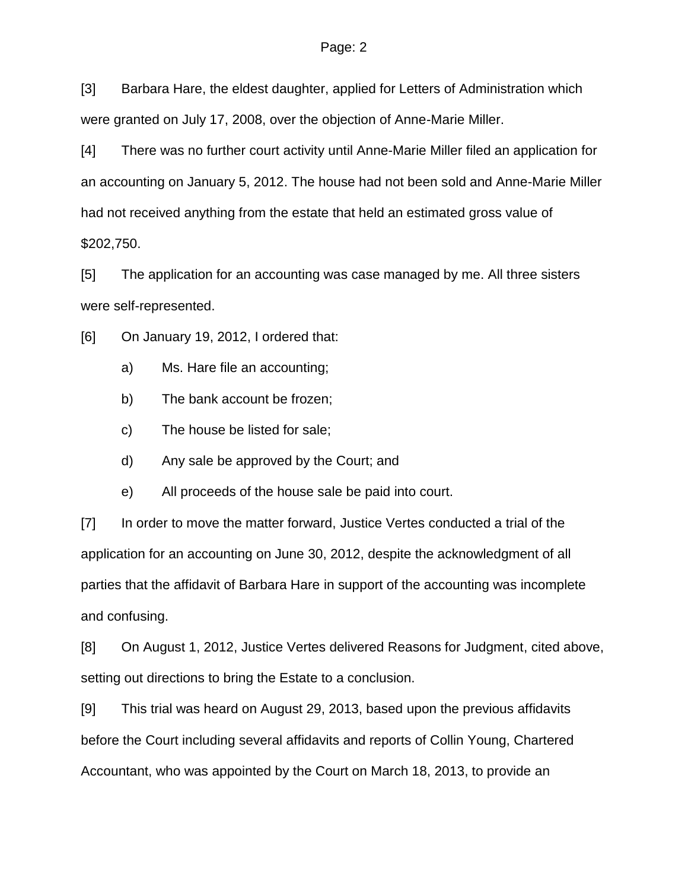[3] Barbara Hare, the eldest daughter, applied for Letters of Administration which were granted on July 17, 2008, over the objection of Anne-Marie Miller.

[4] There was no further court activity until Anne-Marie Miller filed an application for an accounting on January 5, 2012. The house had not been sold and Anne-Marie Miller had not received anything from the estate that held an estimated gross value of \$202,750.

[5] The application for an accounting was case managed by me. All three sisters were self-represented.

[6] On January 19, 2012, I ordered that:

- a) Ms. Hare file an accounting;
- b) The bank account be frozen;
- c) The house be listed for sale;
- d) Any sale be approved by the Court; and
- e) All proceeds of the house sale be paid into court.

[7] In order to move the matter forward, Justice Vertes conducted a trial of the application for an accounting on June 30, 2012, despite the acknowledgment of all parties that the affidavit of Barbara Hare in support of the accounting was incomplete and confusing.

[8] On August 1, 2012, Justice Vertes delivered Reasons for Judgment, cited above, setting out directions to bring the Estate to a conclusion.

[9] This trial was heard on August 29, 2013, based upon the previous affidavits before the Court including several affidavits and reports of Collin Young, Chartered Accountant, who was appointed by the Court on March 18, 2013, to provide an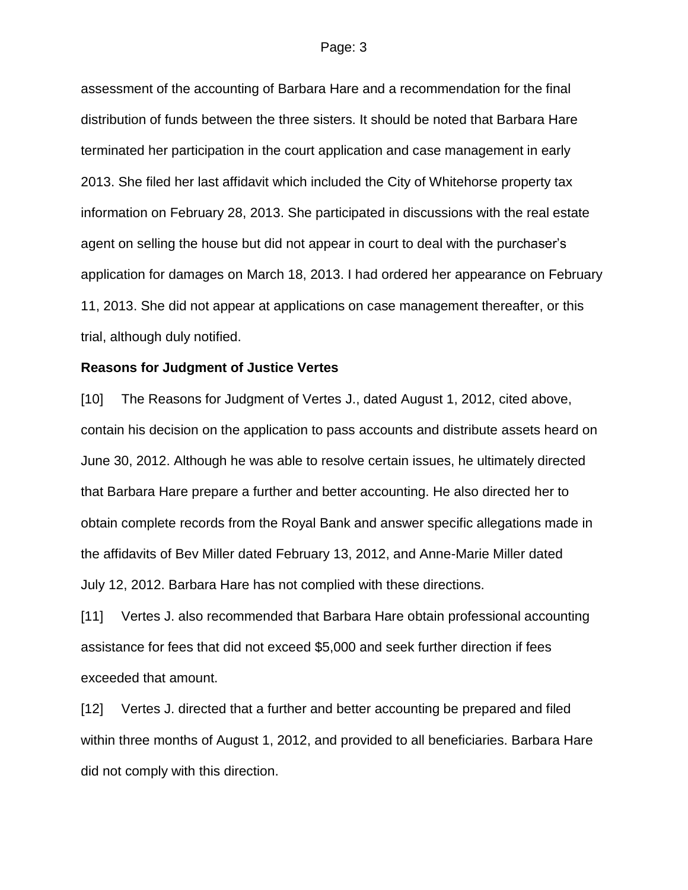assessment of the accounting of Barbara Hare and a recommendation for the final distribution of funds between the three sisters. It should be noted that Barbara Hare terminated her participation in the court application and case management in early 2013. She filed her last affidavit which included the City of Whitehorse property tax information on February 28, 2013. She participated in discussions with the real estate agent on selling the house but did not appear in court to deal with the purchaser's application for damages on March 18, 2013. I had ordered her appearance on February 11, 2013. She did not appear at applications on case management thereafter, or this trial, although duly notified.

### **Reasons for Judgment of Justice Vertes**

[10] The Reasons for Judgment of Vertes J., dated August 1, 2012, cited above, contain his decision on the application to pass accounts and distribute assets heard on June 30, 2012. Although he was able to resolve certain issues, he ultimately directed that Barbara Hare prepare a further and better accounting. He also directed her to obtain complete records from the Royal Bank and answer specific allegations made in the affidavits of Bev Miller dated February 13, 2012, and Anne-Marie Miller dated July 12, 2012. Barbara Hare has not complied with these directions.

[11] Vertes J. also recommended that Barbara Hare obtain professional accounting assistance for fees that did not exceed \$5,000 and seek further direction if fees exceeded that amount.

[12] Vertes J. directed that a further and better accounting be prepared and filed within three months of August 1, 2012, and provided to all beneficiaries. Barbara Hare did not comply with this direction.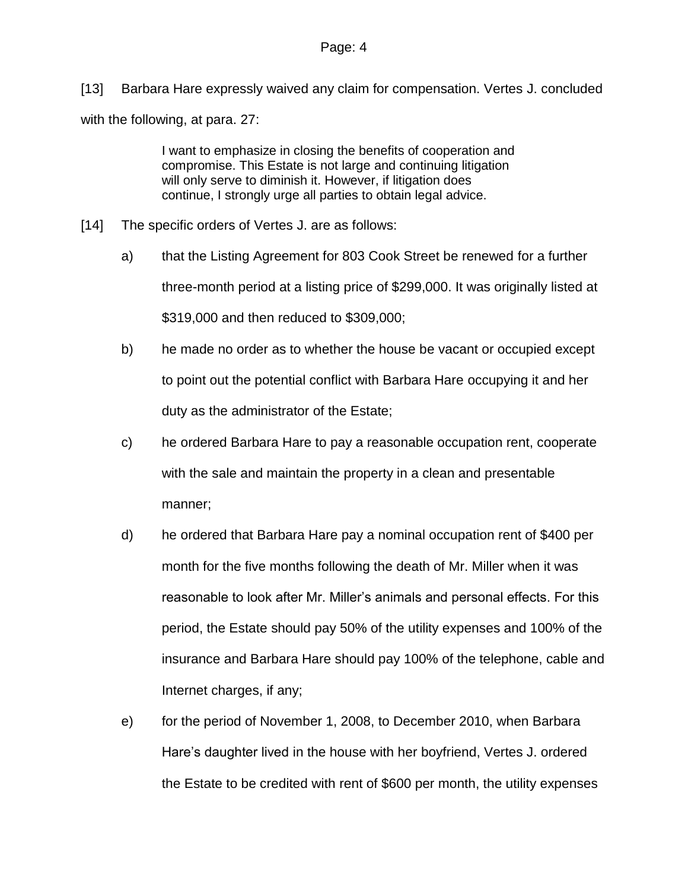[13] Barbara Hare expressly waived any claim for compensation. Vertes J. concluded with the following, at para. 27:

> I want to emphasize in closing the benefits of cooperation and compromise. This Estate is not large and continuing litigation will only serve to diminish it. However, if litigation does continue, I strongly urge all parties to obtain legal advice.

- [14] The specific orders of Vertes J. are as follows:
	- a) that the Listing Agreement for 803 Cook Street be renewed for a further three-month period at a listing price of \$299,000. It was originally listed at \$319,000 and then reduced to \$309,000;
	- b) he made no order as to whether the house be vacant or occupied except to point out the potential conflict with Barbara Hare occupying it and her duty as the administrator of the Estate;
	- c) he ordered Barbara Hare to pay a reasonable occupation rent, cooperate with the sale and maintain the property in a clean and presentable manner;
	- d) he ordered that Barbara Hare pay a nominal occupation rent of \$400 per month for the five months following the death of Mr. Miller when it was reasonable to look after Mr. Miller's animals and personal effects. For this period, the Estate should pay 50% of the utility expenses and 100% of the insurance and Barbara Hare should pay 100% of the telephone, cable and Internet charges, if any;
	- e) for the period of November 1, 2008, to December 2010, when Barbara Hare's daughter lived in the house with her boyfriend, Vertes J. ordered the Estate to be credited with rent of \$600 per month, the utility expenses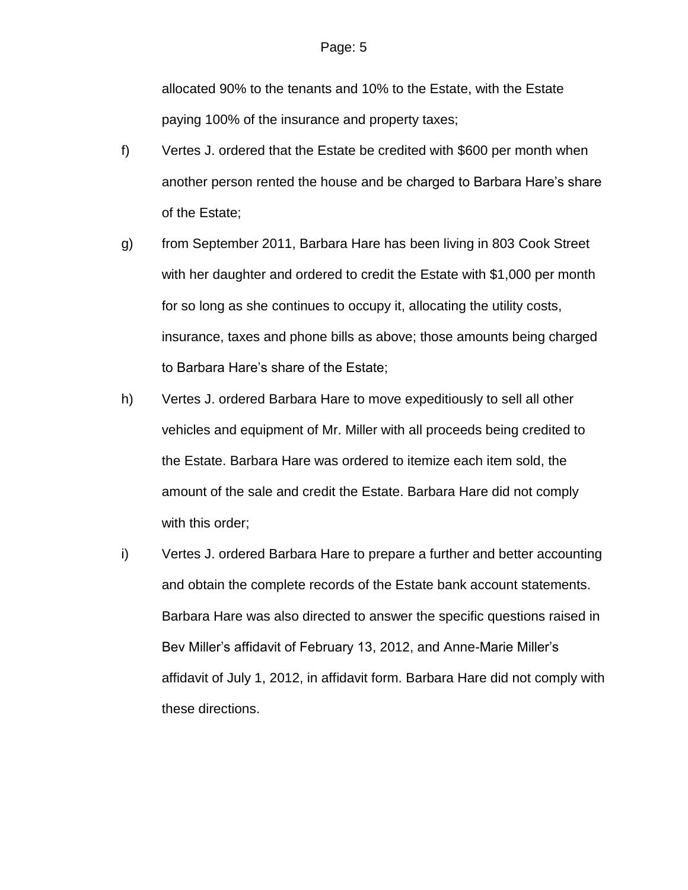allocated 90% to the tenants and 10% to the Estate, with the Estate paying 100% of the insurance and property taxes;

- f) Vertes J. ordered that the Estate be credited with \$600 per month when another person rented the house and be charged to Barbara Hare's share of the Estate;
- g) from September 2011, Barbara Hare has been living in 803 Cook Street with her daughter and ordered to credit the Estate with \$1,000 per month for so long as she continues to occupy it, allocating the utility costs, insurance, taxes and phone bills as above; those amounts being charged to Barbara Hare's share of the Estate;
- h) Vertes J. ordered Barbara Hare to move expeditiously to sell all other vehicles and equipment of Mr. Miller with all proceeds being credited to the Estate. Barbara Hare was ordered to itemize each item sold, the amount of the sale and credit the Estate. Barbara Hare did not comply with this order;
- i) Vertes J. ordered Barbara Hare to prepare a further and better accounting and obtain the complete records of the Estate bank account statements. Barbara Hare was also directed to answer the specific questions raised in Bev Miller's affidavit of February 13, 2012, and Anne-Marie Miller's affidavit of July 1, 2012, in affidavit form. Barbara Hare did not comply with these directions.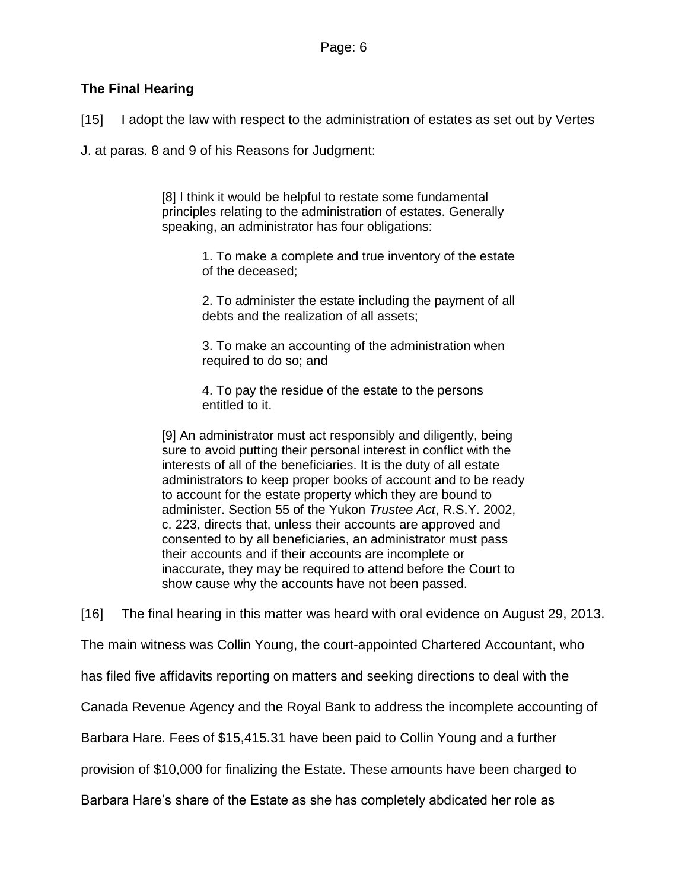# **The Final Hearing**

[15] I adopt the law with respect to the administration of estates as set out by Vertes

J. at paras. 8 and 9 of his Reasons for Judgment:

[8] I think it would be helpful to restate some fundamental principles relating to the administration of estates. Generally speaking, an administrator has four obligations:

> 1. To make a complete and true inventory of the estate of the deceased;

> 2. To administer the estate including the payment of all debts and the realization of all assets;

3. To make an accounting of the administration when required to do so; and

4. To pay the residue of the estate to the persons entitled to it.

[9] An administrator must act responsibly and diligently, being sure to avoid putting their personal interest in conflict with the interests of all of the beneficiaries. It is the duty of all estate administrators to keep proper books of account and to be ready to account for the estate property which they are bound to administer. Section 55 of the Yukon *Trustee Act*, R.S.Y. 2002, c. 223, directs that, unless their accounts are approved and consented to by all beneficiaries, an administrator must pass their accounts and if their accounts are incomplete or inaccurate, they may be required to attend before the Court to show cause why the accounts have not been passed.

[16] The final hearing in this matter was heard with oral evidence on August 29, 2013.

The main witness was Collin Young, the court-appointed Chartered Accountant, who

has filed five affidavits reporting on matters and seeking directions to deal with the

Canada Revenue Agency and the Royal Bank to address the incomplete accounting of

Barbara Hare. Fees of \$15,415.31 have been paid to Collin Young and a further

provision of \$10,000 for finalizing the Estate. These amounts have been charged to

Barbara Hare's share of the Estate as she has completely abdicated her role as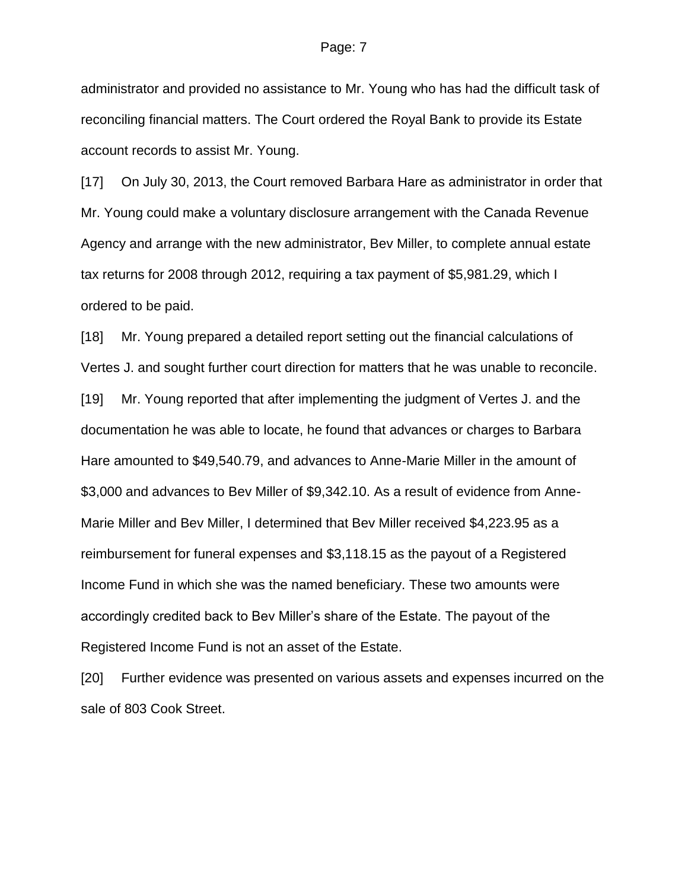administrator and provided no assistance to Mr. Young who has had the difficult task of reconciling financial matters. The Court ordered the Royal Bank to provide its Estate account records to assist Mr. Young.

[17] On July 30, 2013, the Court removed Barbara Hare as administrator in order that Mr. Young could make a voluntary disclosure arrangement with the Canada Revenue Agency and arrange with the new administrator, Bev Miller, to complete annual estate tax returns for 2008 through 2012, requiring a tax payment of \$5,981.29, which I ordered to be paid.

[18] Mr. Young prepared a detailed report setting out the financial calculations of Vertes J. and sought further court direction for matters that he was unable to reconcile. [19] Mr. Young reported that after implementing the judgment of Vertes J. and the documentation he was able to locate, he found that advances or charges to Barbara Hare amounted to \$49,540.79, and advances to Anne-Marie Miller in the amount of \$3,000 and advances to Bev Miller of \$9,342.10. As a result of evidence from Anne-Marie Miller and Bev Miller, I determined that Bev Miller received \$4,223.95 as a reimbursement for funeral expenses and \$3,118.15 as the payout of a Registered Income Fund in which she was the named beneficiary. These two amounts were accordingly credited back to Bev Miller's share of the Estate. The payout of the Registered Income Fund is not an asset of the Estate.

[20] Further evidence was presented on various assets and expenses incurred on the sale of 803 Cook Street.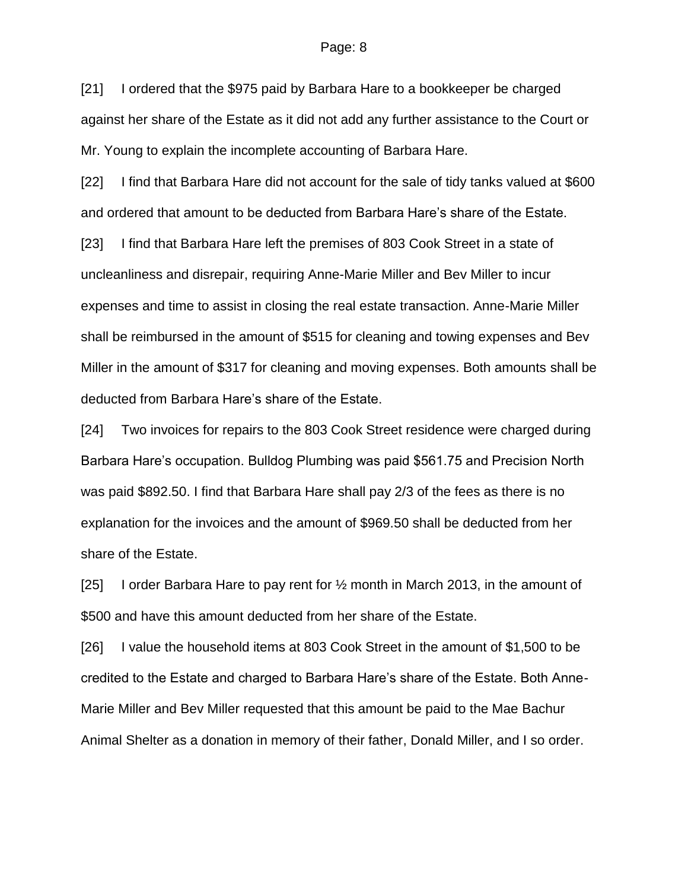[21] I ordered that the \$975 paid by Barbara Hare to a bookkeeper be charged against her share of the Estate as it did not add any further assistance to the Court or Mr. Young to explain the incomplete accounting of Barbara Hare.

[22] I find that Barbara Hare did not account for the sale of tidy tanks valued at \$600 and ordered that amount to be deducted from Barbara Hare's share of the Estate.

[23] I find that Barbara Hare left the premises of 803 Cook Street in a state of uncleanliness and disrepair, requiring Anne-Marie Miller and Bev Miller to incur expenses and time to assist in closing the real estate transaction. Anne-Marie Miller shall be reimbursed in the amount of \$515 for cleaning and towing expenses and Bev Miller in the amount of \$317 for cleaning and moving expenses. Both amounts shall be deducted from Barbara Hare's share of the Estate.

[24] Two invoices for repairs to the 803 Cook Street residence were charged during Barbara Hare's occupation. Bulldog Plumbing was paid \$561.75 and Precision North was paid \$892.50. I find that Barbara Hare shall pay 2/3 of the fees as there is no explanation for the invoices and the amount of \$969.50 shall be deducted from her share of the Estate.

[25] I order Barbara Hare to pay rent for ½ month in March 2013, in the amount of \$500 and have this amount deducted from her share of the Estate.

[26] I value the household items at 803 Cook Street in the amount of \$1,500 to be credited to the Estate and charged to Barbara Hare's share of the Estate. Both Anne-Marie Miller and Bev Miller requested that this amount be paid to the Mae Bachur Animal Shelter as a donation in memory of their father, Donald Miller, and I so order.